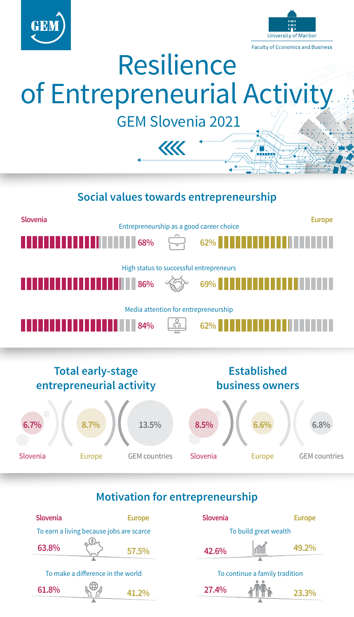



# Resilience of Entrepreneurial Activity

GEM Slovenia 2021

 $\overline{\mathcal{U}}$ 

# **Total early-stage entrepreneurial activity Established business owners Social values towards entrepreneurship Slovenia Europe** Media attention for entrepreneurship **84% 62%** High status to successful entrepreneurs **86% 69%** Entrepreneurship as a good career choice **68% 62% 6.7% 8.7% 13.5%** Slovenia Europe GEM countries **8.5% 6.6% 6.8%** Slovenia **Europe** GEM countries

#### **Motivation for entrepreneurship**